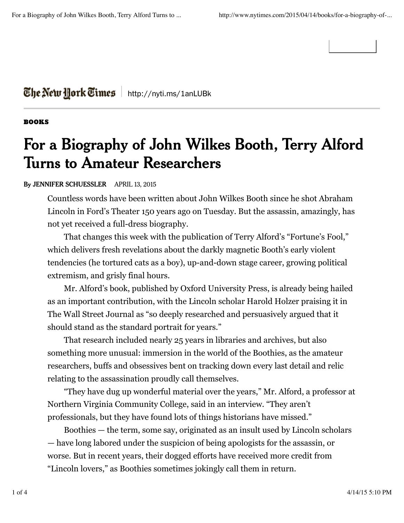The Netu Hork Times | http://nyti.ms/1anLUBk

## **BOOKS**

## **For a Biography of John Wilkes Booth, Terry Alford Turns to Amateur Researchers**

## **By JENNIFER SCHUESSLER** APRIL 13, 2015

Countless words have been written about John Wilkes Booth since he shot Abraham Lincoln in Ford's Theater 150 years ago on Tuesday. But the assassin, amazingly, has not yet received a full-dress biography.

That changes this week with the publication of Terry Alford's "Fortune's Fool," which delivers fresh revelations about the darkly magnetic Booth's early violent tendencies (he tortured cats as a boy), up-and-down stage career, growing political extremism, and grisly final hours.

Mr. Alford's book, published by Oxford University Press, is already being hailed as an important contribution, with the Lincoln scholar Harold Holzer praising it in The Wall Street Journal as "so deeply researched and persuasively argued that it should stand as the standard portrait for years."

That research included nearly 25 years in libraries and archives, but also something more unusual: immersion in the world of the Boothies, as the amateur researchers, buffs and obsessives bent on tracking down every last detail and relic relating to the assassination proudly call themselves.

"They have dug up wonderful material over the years," Mr. Alford, a professor at Northern Virginia Community College, said in an interview. "They aren't professionals, but they have found lots of things historians have missed."

Boothies — the term, some say, originated as an insult used by Lincoln scholars — have long labored under the suspicion of being apologists for the assassin, or worse. But in recent years, their dogged efforts have received more credit from "Lincoln lovers," as Boothies sometimes jokingly call them in return.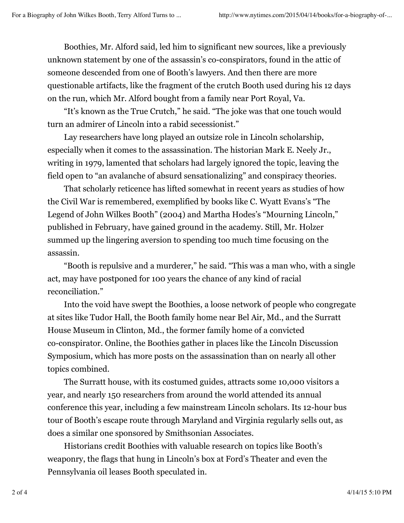Boothies, Mr. Alford said, led him to significant new sources, like a previously unknown statement by one of the assassin's co-conspirators, found in the attic of someone descended from one of Booth's lawyers. And then there are more questionable artifacts, like the fragment of the crutch Booth used during his 12 days on the run, which Mr. Alford bought from a family near Port Royal, Va.

"It's known as the True Crutch," he said. "The joke was that one touch would turn an admirer of Lincoln into a rabid secessionist."

Lay researchers have long played an outsize role in Lincoln scholarship, especially when it comes to the assassination. The historian Mark E. Neely Jr., writing in 1979, lamented that scholars had largely ignored the topic, leaving the field open to "an avalanche of absurd sensationalizing" and conspiracy theories.

That scholarly reticence has lifted somewhat in recent years as studies of how the Civil War is remembered, exemplified by books like C. Wyatt Evans's "The Legend of John Wilkes Booth" (2004) and Martha Hodes's "Mourning Lincoln," published in February, have gained ground in the academy. Still, Mr. Holzer summed up the lingering aversion to spending too much time focusing on the assassin.

"Booth is repulsive and a murderer," he said. "This was a man who, with a single act, may have postponed for 100 years the chance of any kind of racial reconciliation."

Into the void have swept the Boothies, a loose network of people who congregate at sites like Tudor Hall, the Booth family home near Bel Air, Md., and the Surratt House Museum in Clinton, Md., the former family home of a convicted co-conspirator. Online, the Boothies gather in places like the Lincoln Discussion Symposium, which has more posts on the assassination than on nearly all other topics combined.

The Surratt house, with its costumed guides, attracts some 10,000 visitors a year, and nearly 150 researchers from around the world attended its annual conference this year, including a few mainstream Lincoln scholars. Its 12-hour bus tour of Booth's escape route through Maryland and Virginia regularly sells out, as does a similar one sponsored by Smithsonian Associates.

Historians credit Boothies with valuable research on topics like Booth's weaponry, the flags that hung in Lincoln's box at Ford's Theater and even the Pennsylvania oil leases Booth speculated in.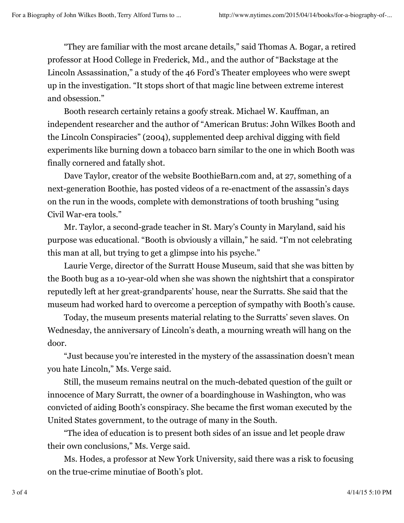"They are familiar with the most arcane details," said Thomas A. Bogar, a retired professor at Hood College in Frederick, Md., and the author of "Backstage at the Lincoln Assassination," a study of the 46 Ford's Theater employees who were swept up in the investigation. "It stops short of that magic line between extreme interest and obsession."

Booth research certainly retains a goofy streak. Michael W. Kauffman, an independent researcher and the author of "American Brutus: John Wilkes Booth and the Lincoln Conspiracies" (2004), supplemented deep archival digging with field experiments like burning down a tobacco barn similar to the one in which Booth was finally cornered and fatally shot.

Dave Taylor, creator of the website BoothieBarn.com and, at 27, something of a next-generation Boothie, has posted videos of a re-enactment of the assassin's days on the run in the woods, complete with demonstrations of tooth brushing "using Civil War-era tools."

Mr. Taylor, a second-grade teacher in St. Mary's County in Maryland, said his purpose was educational. "Booth is obviously a villain," he said. "I'm not celebrating this man at all, but trying to get a glimpse into his psyche."

Laurie Verge, director of the Surratt House Museum, said that she was bitten by the Booth bug as a 10-year-old when she was shown the nightshirt that a conspirator reputedly left at her great-grandparents' house, near the Surratts. She said that the museum had worked hard to overcome a perception of sympathy with Booth's cause.

Today, the museum presents material relating to the Surratts' seven slaves. On Wednesday, the anniversary of Lincoln's death, a mourning wreath will hang on the door.

"Just because you're interested in the mystery of the assassination doesn't mean you hate Lincoln," Ms. Verge said.

Still, the museum remains neutral on the much-debated question of the guilt or innocence of Mary Surratt, the owner of a boardinghouse in Washington, who was convicted of aiding Booth's conspiracy. She became the first woman executed by the United States government, to the outrage of many in the South.

"The idea of education is to present both sides of an issue and let people draw their own conclusions," Ms. Verge said.

Ms. Hodes, a professor at New York University, said there was a risk to focusing on the true-crime minutiae of Booth's plot.